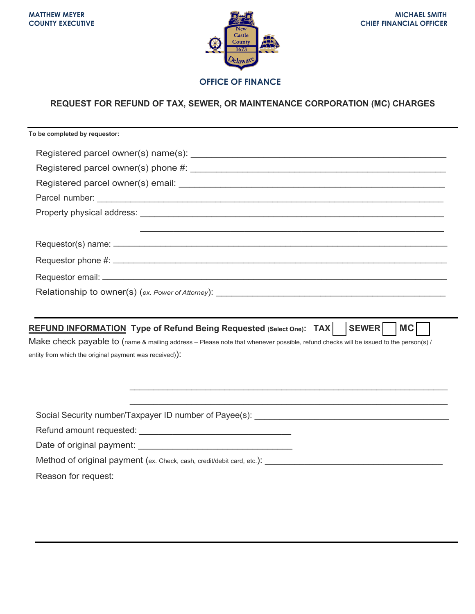

### **OFFICE OF FINANCE**

# **REQUEST FOR REFUND OF TAX, SEWER, OR MAINTENANCE CORPORATION (MC) CHARGES**

| To be completed by requestor:                                                                                                                                                                 |
|-----------------------------------------------------------------------------------------------------------------------------------------------------------------------------------------------|
|                                                                                                                                                                                               |
|                                                                                                                                                                                               |
|                                                                                                                                                                                               |
|                                                                                                                                                                                               |
|                                                                                                                                                                                               |
|                                                                                                                                                                                               |
|                                                                                                                                                                                               |
|                                                                                                                                                                                               |
|                                                                                                                                                                                               |
| <b>SEWER</b><br>REFUND INFORMATION Type of Refund Being Requested (Select One): TAX    <br><b>MC</b>                                                                                          |
|                                                                                                                                                                                               |
|                                                                                                                                                                                               |
| Make check payable to (name & mailing address – Please note that whenever possible, refund checks will be issued to the person(s) /<br>entity from which the original payment was received)): |
|                                                                                                                                                                                               |
|                                                                                                                                                                                               |
|                                                                                                                                                                                               |
| Social Security number/Taxpayer ID number of Payee(s): [2001] [2012] [2012] [2012] [2012] [2012] [2012] [2012]                                                                                |
|                                                                                                                                                                                               |
|                                                                                                                                                                                               |
| Method of original payment (ex. Check, cash, credit/debit card, etc.): _____________________________                                                                                          |